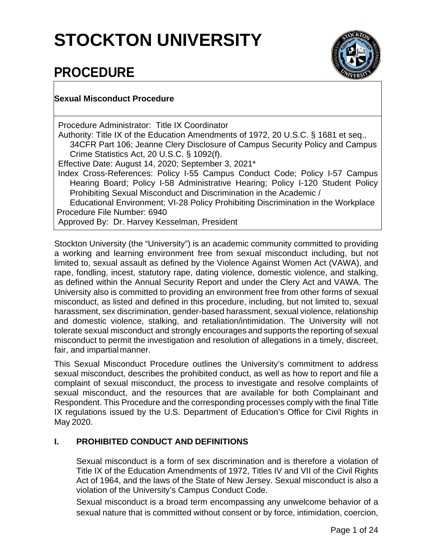# **STOCKTON UNIVERSITY**



## **PROCEDURE**

#### **Sexual Misconduct Procedure**

Procedure Administrator: Title IX Coordinator Authority: Title IX of the Education Amendments of 1972, 20 U.S.C. § 1681 et seq., 34CFR Part 106; Jeanne Clery Disclosure of Campus Security Policy and Campus Crime Statistics Act, 20 U.S.C. § 1092(f). Effective Date: August 14, 2020; September 3, 2021\* Index Cross-References: Policy I-55 Campus Conduct Code; Policy I-57 Campus Hearing Board; Policy I-58 Administrative Hearing; Policy I-120 Student Policy Prohibiting Sexual Misconduct and Discrimination in the Academic / Educational Environment; VI-28 Policy Prohibiting Discrimination in the Workplace Procedure File Number: 6940 Approved By: Dr. Harvey Kesselman, President

Stockton University (the "University") is an academic community committed to providing a working and learning environment free from sexual misconduct including, but not limited to, sexual assault as defined by the Violence Against Women Act (VAWA), and rape, fondling, incest, statutory rape, dating violence, domestic violence, and stalking, as defined within the Annual Security Report and under the Clery Act and VAWA. The University also is committed to providing an environment free from other forms of sexual misconduct, as listed and defined in this procedure, including, but not limited to, sexual harassment, sex discrimination, gender-based harassment, sexual violence, relationship and domestic violence, stalking, and retaliation/intimidation. The University will not tolerate sexual misconduct and strongly encourages and supports the reporting of sexual misconduct to permit the investigation and resolution of allegations in a timely, discreet, fair, and impartial manner.

This Sexual Misconduct Procedure outlines the University's commitment to address sexual misconduct, describes the prohibited conduct, as well as how to report and file a complaint of sexual misconduct, the process to investigate and resolve complaints of sexual misconduct, and the resources that are available for both Complainant and Respondent. This Procedure and the corresponding processes comply with the final Title IX regulations issued by the U.S. Department of Education's Office for Civil Rights in May 2020.

#### **I. PROHIBITED CONDUCT AND DEFINITIONS**

Sexual misconduct is a form of sex discrimination and is therefore a violation of Title IX of the Education Amendments of 1972, Titles IV and VII of the Civil Rights Act of 1964, and the laws of the State of New Jersey. Sexual misconduct is also a violation of the University's Campus Conduct Code.

Sexual misconduct is a broad term encompassing any unwelcome behavior of a sexual nature that is committed without consent or by force, intimidation, coercion,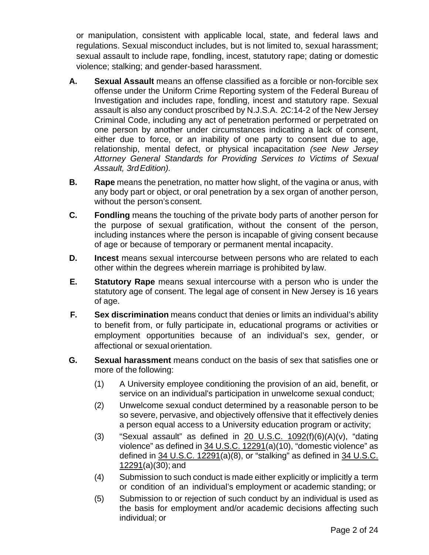or manipulation, consistent with applicable local, state, and federal laws and regulations. Sexual misconduct includes, but is not limited to, sexual harassment; sexual assault to include rape, fondling, incest, statutory rape; dating or domestic violence; stalking; and gender-based harassment.

- **A. Sexual Assault** means an offense classified as a forcible or non-forcible sex offense under the Uniform Crime Reporting system of the Federal Bureau of Investigation and includes rape, fondling, incest and statutory rape. Sexual assault is also any conduct proscribed by N.J.S.A. 2C:14-2 of the New Jersey Criminal Code, including any act of penetration performed or perpetrated on one person by another under circumstances indicating a lack of consent, either due to force, or an inability of one party to consent due to age, relationship, mental defect, or physical incapacitation *(see New Jersey Attorney General Standards for Providing Services to Victims of Sexual Assault, 3rdEdition).*
- **B. Rape** means the penetration, no matter how slight, of the vagina or anus, with any body part or object, or oral penetration by a sex organ of another person, without the person's consent.
- **C. Fondling** means the touching of the private body parts of another person for the purpose of sexual gratification, without the consent of the person, including instances where the person is incapable of giving consent because of age or because of temporary or permanent mental incapacity.
- **D. Incest** means sexual intercourse between persons who are related to each other within the degrees wherein marriage is prohibited by law.
- **E. Statutory Rape** means sexual intercourse with a person who is under the statutory age of consent. The legal age of consent in New Jersey is 16 years of age.
- **F. Sex discrimination** means conduct that denies or limits an individual's ability to benefit from, or fully participate in, educational programs or activities or employment opportunities because of an individual's sex, gender, or affectional or sexual orientation.
- **G. Sexual harassment** means conduct on the basis of sex that satisfies one or more of the following:
	- (1) A University employee conditioning the provision of an aid, benefit, or service on an individual's participation in unwelcome sexual conduct;
	- (2) Unwelcome sexual conduct determined by a reasonable person to be so severe, pervasive, and objectively offensive that it effectively denies a person equal access to a University education program or activity;
	- (3) "Sexual assault" as defined in  $20$  U.S.C.  $1092(f)(6)(A)(v)$ , "dating violence" as defined in [34 U.S.C. 12291\(](https://www.govinfo.gov/link/uscode/34/12291?type=usc&amp%3Byear=mostrecent&amp%3Blink-type=html)a)(10), "domestic violence" as defined in [34 U.S.C. 12291\(](https://www.govinfo.gov/link/uscode/34/12291?type=usc&amp%3Byear=mostrecent&amp%3Blink-type=html)a)(8), or "stalking" as defined in [34](https://www.govinfo.gov/link/uscode/34/12291?type=usc&amp%3Byear=mostrecent&amp%3Blink-type=html) [U.S.C.](https://www.govinfo.gov/link/uscode/34/12291?type=usc&amp%3Byear=mostrecent&amp%3Blink-type=html)  [12291\(](https://www.govinfo.gov/link/uscode/34/12291?type=usc&amp%3Byear=mostrecent&amp%3Blink-type=html)a)(30); and
	- (4) Submission to such conduct is made either explicitly or implicitly a term or condition of an individual's employment or academic standing; or
	- (5) Submission to or rejection of such conduct by an individual is used as the basis for employment and/or academic decisions affecting such individual; or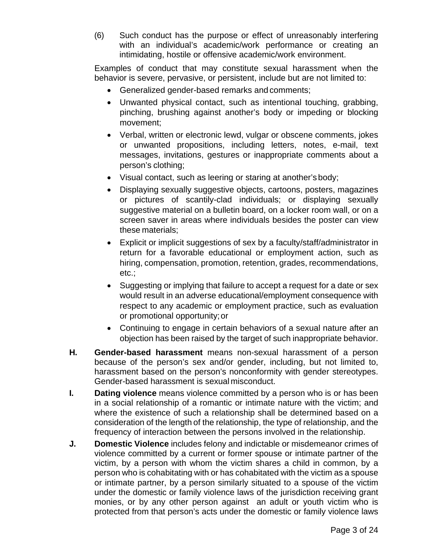(6) Such conduct has the purpose or effect of unreasonably interfering with an individual's academic/work performance or creating an intimidating, hostile or offensive academic/work environment.

Examples of conduct that may constitute sexual harassment when the behavior is severe, pervasive, or persistent, include but are not limited to:

- Generalized gender-based remarks and comments;
- Unwanted physical contact, such as intentional touching, grabbing, pinching, brushing against another's body or impeding or blocking movement;
- Verbal, written or electronic lewd, vulgar or obscene comments, jokes or unwanted propositions, including letters, notes, e-mail, text messages, invitations, gestures or inappropriate comments about a person's clothing;
- Visual contact, such as leering or staring at another's body;
- Displaying sexually suggestive objects, cartoons, posters, magazines or pictures of scantily-clad individuals; or displaying sexually suggestive material on a bulletin board, on a locker room wall, or on a screen saver in areas where individuals besides the poster can view these materials;
- Explicit or implicit suggestions of sex by a faculty/staff/administrator in return for a favorable educational or employment action, such as hiring, compensation, promotion, retention, grades, recommendations, etc.;
- Suggesting or implying that failure to accept a request for a date or sex would result in an adverse educational/employment consequence with respect to any academic or employment practice, such as evaluation or promotional opportunity;or
- Continuing to engage in certain behaviors of a sexual nature after an objection has been raised by the target of such inappropriate behavior.
- **H. Gender-based harassment** means non-sexual harassment of a person because of the person's sex and/or gender, including, but not limited to, harassment based on the person's nonconformity with gender stereotypes. Gender-based harassment is sexual misconduct.
- **I. Dating violence** means violence committed by a person who is or has been in a social relationship of a romantic or intimate nature with the victim; and where the existence of such a relationship shall be determined based on a consideration of the length of the relationship, the type of relationship, and the frequency of interaction between the persons involved in the relationship.
- **J. Domestic Violence** includes felony and indictable or misdemeanor crimes of violence committed by a current or former spouse or intimate partner of the victim, by a person with whom the victim shares a child in common, by a person who is cohabitating with or has cohabitated with the victim as a spouse or intimate partner, by a person similarly situated to a spouse of the victim under the domestic or family violence laws of the jurisdiction receiving grant monies, or by any other person against an adult or youth victim who is protected from that person's acts under the domestic or family violence laws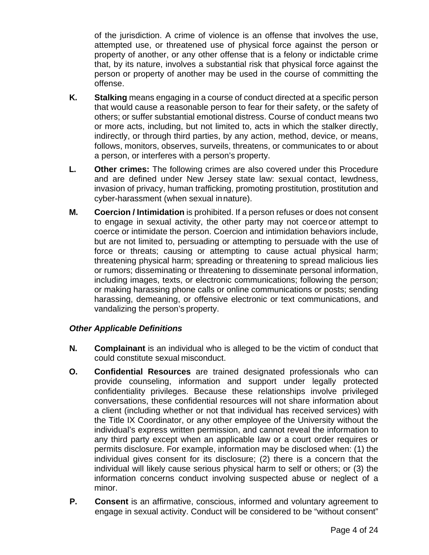of the jurisdiction. A crime of violence is an offense that involves the use, attempted use, or threatened use of physical force against the person or property of another, or any other offense that is a felony or indictable crime that, by its nature, involves a substantial risk that physical force against the person or property of another may be used in the course of committing the offense.

- **K. Stalking** means engaging in a course of conduct directed at a specific person that would cause a reasonable person to fear for their safety, or the safety of others; or suffer substantial emotional distress. Course of conduct means two or more acts, including, but not limited to, acts in which the stalker directly, indirectly, or through third parties, by any action, method, device, or means, follows, monitors, observes, surveils, threatens, or communicates to or about a person, or interferes with a person's property.
- **L. Other crimes:** The following crimes are also covered under this Procedure and are defined under New Jersey state law: sexual contact, lewdness, invasion of privacy, human trafficking, promoting prostitution, prostitution and cyber-harassment (when sexual innature).
- **M. Coercion / Intimidation** is prohibited. If a person refuses or does not consent to engage in sexual activity, the other party may not coerceor attempt to coerce or intimidate the person. Coercion and intimidation behaviors include, but are not limited to, persuading or attempting to persuade with the use of force or threats; causing or attempting to cause actual physical harm; threatening physical harm; spreading or threatening to spread malicious lies or rumors; disseminating or threatening to disseminate personal information, including images, texts, or electronic communications; following the person; or making harassing phone calls or online communications or posts; sending harassing, demeaning, or offensive electronic or text communications, and vandalizing the person's property.

#### *Other Applicable Definitions*

- **N. Complainant** is an individual who is alleged to be the victim of conduct that could constitute sexual misconduct.
- **O. Confidential Resources** are trained designated professionals who can provide counseling, information and support under legally protected confidentiality privileges. Because these relationships involve privileged conversations, these confidential resources will not share information about a client (including whether or not that individual has received services) with the Title IX Coordinator, or any other employee of the University without the individual's express written permission, and cannot reveal the information to any third party except when an applicable law or a court order requires or permits disclosure. For example, information may be disclosed when: (1) the individual gives consent for its disclosure; (2) there is a concern that the individual will likely cause serious physical harm to self or others; or (3) the information concerns conduct involving suspected abuse or neglect of a minor.
- **P. Consent** is an affirmative, conscious, informed and voluntary agreement to engage in sexual activity. Conduct will be considered to be "without consent"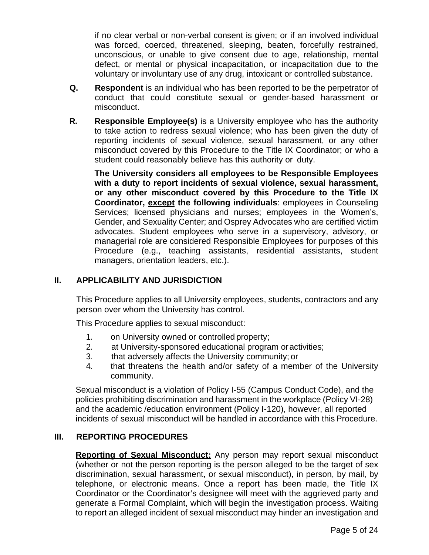if no clear verbal or non-verbal consent is given; or if an involved individual was forced, coerced, threatened, sleeping, beaten, forcefully restrained, unconscious, or unable to give consent due to age, relationship, mental defect, or mental or physical incapacitation, or incapacitation due to the voluntary or involuntary use of any drug, intoxicant or controlled substance.

- **Q. Respondent** is an individual who has been reported to be the perpetrator of conduct that could constitute sexual or gender-based harassment or misconduct.
- **R. Responsible Employee(s)** is a University employee who has the authority to take action to redress sexual violence; who has been given the duty of reporting incidents of sexual violence, sexual harassment, or any other misconduct covered by this Procedure to the Title IX Coordinator; or who a student could reasonably believe has this authority or duty.

**The University considers all employees to be Responsible Employees with a duty to report incidents of sexual violence, sexual harassment, or any other misconduct covered by this Procedure to the Title IX Coordinator, except the following individuals**: employees in Counseling Services; licensed physicians and nurses; employees in the Women's, Gender, and Sexuality Center; and Osprey Advocates who are certified victim advocates. Student employees who serve in a supervisory, advisory, or managerial role are considered Responsible Employees for purposes of this Procedure (e.g., teaching assistants, residential assistants, student managers, orientation leaders, etc.).

#### **II. APPLICABILITY AND JURISDICTION**

This Procedure applies to all University employees, students, contractors and any person over whom the University has control.

This Procedure applies to sexual misconduct:

- 1. on University owned or controlled property;
- 2. at University-sponsored educational program oractivities;
- 3. that adversely affects the University community; or
- 4. that threatens the health and/or safety of a member of the University community.

Sexual misconduct is a violation of Policy I-55 (Campus Conduct Code), and the policies prohibiting discrimination and harassment in the workplace (Policy VI-28) and the academic /education environment (Policy I-120), however, all reported incidents of sexual misconduct will be handled in accordance with this Procedure.

#### **III. REPORTING PROCEDURES**

**Reporting of Sexual Misconduct:** Any person may report sexual misconduct (whether or not the person reporting is the person alleged to be the target of sex discrimination, sexual harassment, or sexual misconduct), in person, by mail, by telephone, or electronic means. Once a report has been made, the Title IX Coordinator or the Coordinator's designee will meet with the aggrieved party and generate a Formal Complaint, which will begin the investigation process. Waiting to report an alleged incident of sexual misconduct may hinder an investigation and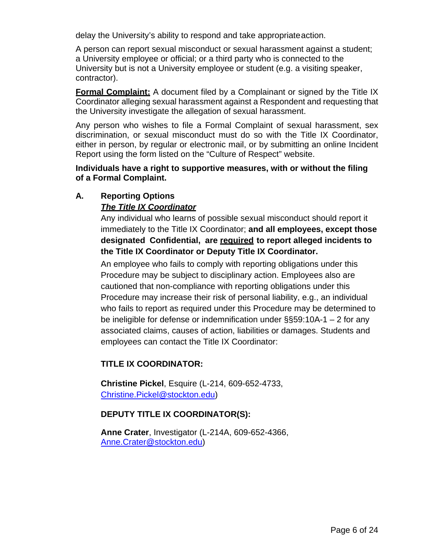delay the University's ability to respond and take appropriateaction.

A person can report sexual misconduct or sexual harassment against a student; a University employee or official; or a third party who is connected to the University but is not a University employee or student (e.g. a visiting speaker, contractor).

**Formal Complaint:** A document filed by a Complainant or signed by the Title IX Coordinator alleging sexual harassment against a Respondent and requesting that the University investigate the allegation of sexual harassment.

Any person who wishes to file a Formal Complaint of sexual harassment, sex discrimination, or sexual misconduct must do so with the Title IX Coordinator, either in person, by regular or electronic mail, or by submitting an online Incident Report using the [form](https://stockton0.sharepoint.com/sites/PolicyAndProcedureReview/Shared%20Documents/Under%20Review/ODI/form) listed on the "Culture of Respect" website.

**Individuals have a right to supportive measures, with or without the filing of a Formal Complaint.**

### **A. Reporting Options**

#### *The Title IX Coordinator*

Any individual who learns of possible sexual misconduct should report it immediately to the Title IX Coordinator; **and all employees, except those designated Confidential, are required to report alleged incidents to the Title IX Coordinator or Deputy Title IX Coordinator.**

An employee who fails to comply with reporting obligations under this Procedure may be subject to disciplinary action. Employees also are cautioned that non-compliance with reporting obligations under this Procedure may increase their risk of personal liability, e.g., an individual who fails to report as required under this Procedure may be determined to be ineligible for defense or indemnification under §§59:10A-1 – 2 for any associated claims, causes of action, liabilities or damages. Students and employees can contact the Title IX Coordinator:

#### **TITLE IX COORDINATOR:**

**Christine Pickel**, Esquire (L-214, 609-652-4733, [Christine.Pickel@stockton.edu\)](mailto:Christine.Pickel@stockton.edu)

#### **DEPUTY TITLE IX COORDINATOR(S):**

**Anne Crater**, Investigator (L-214A, 609-652-4366, [Anne.Crater@stockton.edu\)](mailto:Anne.Crater@stockton.edu)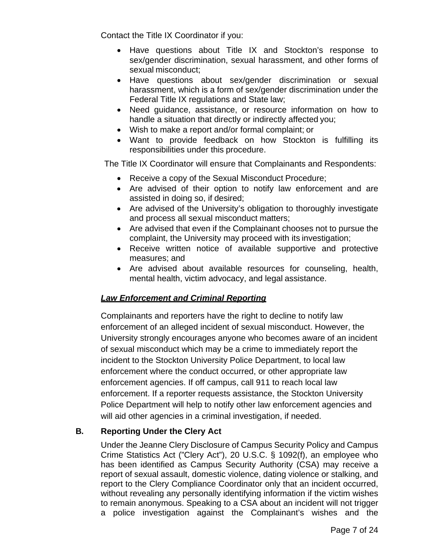Contact the Title IX Coordinator if you:

- Have questions about Title IX and Stockton's response to sex/gender discrimination, sexual harassment, and other forms of sexual misconduct;
- Have questions about sex/gender discrimination or sexual harassment, which is a form of sex/gender discrimination under the Federal Title IX regulations and State law;
- Need guidance, assistance, or resource information on how to handle a situation that directly or indirectly affected you;
- Wish to make a report and/or formal complaint; or
- Want to provide feedback on how Stockton is fulfilling its responsibilities under this procedure.

The Title IX Coordinator will ensure that Complainants and Respondents:

- Receive a copy of the Sexual Misconduct Procedure;
- Are advised of their option to notify law enforcement and are assisted in doing so, if desired;
- Are advised of the University's obligation to thoroughly investigate and process all sexual misconduct matters;
- Are advised that even if the Complainant chooses not to pursue the complaint, the University may proceed with its investigation;
- Receive written notice of available supportive and protective measures; and
- Are advised about available resources for counseling, health, mental health, victim advocacy, and legal assistance.

#### *Law Enforcement and Criminal Reporting*

Complainants and reporters have the right to decline to notify law enforcement of an alleged incident of sexual misconduct. However, the University strongly encourages anyone who becomes aware of an incident of sexual misconduct which may be a crime to immediately report the incident to the Stockton University Police Department, to local law enforcement where the conduct occurred, or other appropriate law enforcement agencies. If off campus, call 911 to reach local law enforcement. If a reporter requests assistance, the Stockton University Police Department will help to notify other law enforcement agencies and will aid other agencies in a criminal investigation, if needed.

#### **B. Reporting Under the Clery Act**

Under the Jeanne Clery Disclosure of Campus Security Policy and Campus Crime Statistics Act ("Clery Act"), 20 U.S.C. § 1092(f), an employee who has been identified as Campus Security Authority (CSA) may receive a report of sexual assault, domestic violence, dating violence or stalking, and report to the Clery Compliance Coordinator only that an incident occurred, without revealing any personally identifying information if the victim wishes to remain anonymous. Speaking to a CSA about an incident will not trigger a police investigation against the Complainant's wishes and the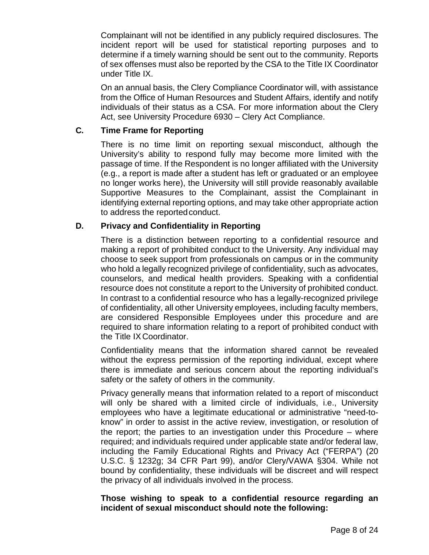Complainant will not be identified in any publicly required disclosures. The incident report will be used for statistical reporting purposes and to determine if a timely warning should be sent out to the community. Reports of sex offenses must also be reported by the CSA to the Title IX Coordinator under Title IX.

On an annual basis, the Clery Compliance Coordinator will, with assistance from the Office of Human Resources and Student Affairs, identify and notify individuals of their status as a CSA. For more information about the Clery Act, see University Procedure 6930 – Clery Act Compliance.

#### **C. Time Frame for Reporting**

There is no time limit on reporting sexual misconduct, although the University's ability to respond fully may become more limited with the passage of time. If the Respondent is no longer affiliated with the University (e.g., a report is made after a student has left or graduated or an employee no longer works here), the University will still provide reasonably available Supportive Measures to the Complainant, assist the Complainant in identifying external reporting options, and may take other appropriate action to address the reported conduct.

#### **D. Privacy and Confidentiality in Reporting**

There is a distinction between reporting to a confidential resource and making a report of prohibited conduct to the University. Any individual may choose to seek support from professionals on campus or in the community who hold a legally recognized privilege of confidentiality, such as advocates, counselors, and medical health providers. Speaking with a confidential resource does not constitute a report to the University of prohibited conduct. In contrast to a confidential resource who has a legally-recognized privilege of confidentiality, all other University employees, including faculty members, are considered Responsible Employees under this procedure and are required to share information relating to a report of prohibited conduct with the Title IX Coordinator.

Confidentiality means that the information shared cannot be revealed without the express permission of the reporting individual, except where there is immediate and serious concern about the reporting individual's safety or the safety of others in the community.

Privacy generally means that information related to a report of misconduct will only be shared with a limited circle of individuals, i.e., University employees who have a legitimate educational or administrative "need-toknow" in order to assist in the active review, investigation, or resolution of the report; the parties to an investigation under this Procedure – where required; and individuals required under applicable state and/or federal law, including the Family Educational Rights and Privacy Act ("FERPA") (20 U.S.C. § 1232g; 34 CFR Part 99), and/or Clery/VAWA §304. While not bound by confidentiality, these individuals will be discreet and will respect the privacy of all individuals involved in the process.

#### **Those wishing to speak to a confidential resource regarding an incident of sexual misconduct should note the following:**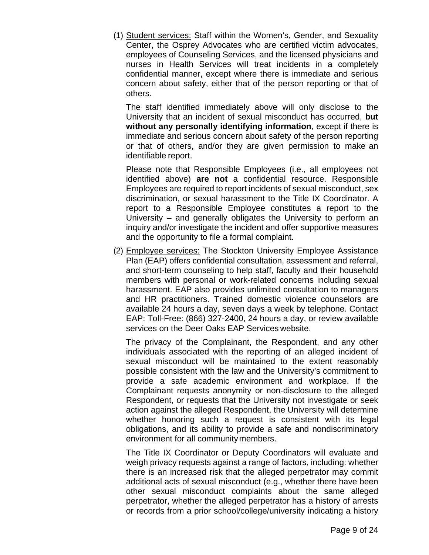(1) Student services: Staff within the Women's, Gender, and Sexuality Center, the Osprey Advocates who are certified victim advocates, employees of Counseling Services, and the licensed physicians and nurses in Health Services will treat incidents in a completely confidential manner, except where there is immediate and serious concern about safety, either that of the person reporting or that of others.

The staff identified immediately above will only disclose to the University that an incident of sexual misconduct has occurred, **but without any personally identifying information**, except if there is immediate and serious concern about safety of the person reporting or that of others, and/or they are given permission to make an identifiable report.

Please note that Responsible Employees (i.e., all employees not identified above) **are not** a confidential resource. Responsible Employees are required to report incidents of sexual misconduct, sex discrimination, or sexual harassment to the Title IX Coordinator. A report to a Responsible Employee constitutes a report to the University – and generally obligates the University to perform an inquiry and/or investigate the incident and offer supportive measures and the opportunity to file a formal complaint.

(2) Employee services: The Stockton University Employee Assistance Plan (EAP) offers confidential consultation, assessment and referral, and short-term counseling to help staff, faculty and their household members with personal or work-related concerns including sexual harassment. EAP also provides unlimited consultation to managers and HR practitioners. Trained domestic violence counselors are available 24 hours a day, seven days a week by telephone. Contact EAP: Toll-Free: (866) 327-2400, 24 hours a day, or review available services on the Deer Oaks EAP Services website.

The privacy of the Complainant, the Respondent, and any other individuals associated with the reporting of an alleged incident of sexual misconduct will be maintained to the extent reasonably possible consistent with the law and the University's commitment to provide a safe academic environment and workplace. If the Complainant requests anonymity or non-disclosure to the alleged Respondent, or requests that the University not investigate or seek action against the alleged Respondent, the University will determine whether honoring such a request is consistent with its legal obligations, and its ability to provide a safe and nondiscriminatory environment for all communitymembers.

The Title IX Coordinator or Deputy Coordinators will evaluate and weigh privacy requests against a range of factors, including: whether there is an increased risk that the alleged perpetrator may commit additional acts of sexual misconduct (e.g., whether there have been other sexual misconduct complaints about the same alleged perpetrator, whether the alleged perpetrator has a history of arrests or records from a prior school/college/university indicating a history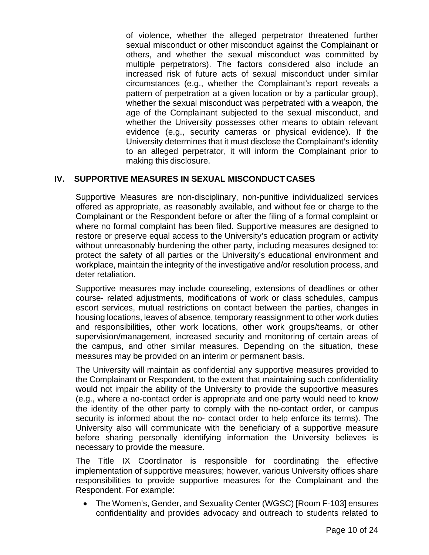of violence, whether the alleged perpetrator threatened further sexual misconduct or other misconduct against the Complainant or others, and whether the sexual misconduct was committed by multiple perpetrators). The factors considered also include an increased risk of future acts of sexual misconduct under similar circumstances (e.g., whether the Complainant's report reveals a pattern of perpetration at a given location or by a particular group), whether the sexual misconduct was perpetrated with a weapon, the age of the Complainant subjected to the sexual misconduct, and whether the University possesses other means to obtain relevant evidence (e.g., security cameras or physical evidence). If the University determines that it must disclose the Complainant's identity to an alleged perpetrator, it will inform the Complainant prior to making this disclosure.

#### **IV. SUPPORTIVE MEASURES IN SEXUAL MISCONDUCT CASES**

Supportive Measures are non-disciplinary, non-punitive individualized services offered as appropriate, as reasonably available, and without fee or charge to the Complainant or the Respondent before or after the filing of a formal complaint or where no formal complaint has been filed. Supportive measures are designed to restore or preserve equal access to the University's education program or activity without unreasonably burdening the other party, including measures designed to: protect the safety of all parties or the University's educational environment and workplace, maintain the integrity of the investigative and/or resolution process, and deter retaliation.

Supportive measures may include counseling, extensions of deadlines or other course- related adjustments, modifications of work or class schedules, campus escort services, mutual restrictions on contact between the parties, changes in housing locations, leaves of absence, temporary reassignment to other work duties and responsibilities, other work locations, other work groups/teams, or other supervision/management, increased security and monitoring of certain areas of the campus, and other similar measures. Depending on the situation, these measures may be provided on an interim or permanent basis.

The University will maintain as confidential any supportive measures provided to the Complainant or Respondent, to the extent that maintaining such confidentiality would not impair the ability of the University to provide the supportive measures (e.g., where a no-contact order is appropriate and one party would need to know the identity of the other party to comply with the no-contact order, or campus security is informed about the no- contact order to help enforce its terms). The University also will communicate with the beneficiary of a supportive measure before sharing personally identifying information the University believes is necessary to provide the measure.

The Title IX Coordinator is responsible for coordinating the effective implementation of supportive measures; however, various University offices share responsibilities to provide supportive measures for the Complainant and the Respondent. For example:

• The Women's, Gender, and Sexuality Center (WGSC) [Room F-103] ensures confidentiality and provides advocacy and outreach to students related to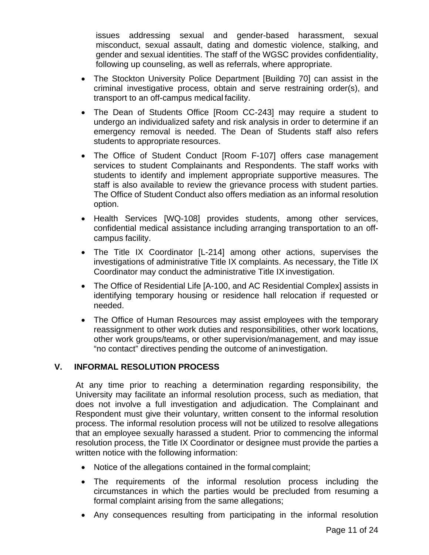issues addressing sexual and gender-based harassment, sexual misconduct, sexual assault, dating and domestic violence, stalking, and gender and sexual identities. The staff of the WGSC provides confidentiality, following up counseling, as well as referrals, where appropriate.

- The Stockton University Police Department [Building 70] can assist in the criminal investigative process, obtain and serve restraining order(s), and transport to an off-campus medical facility.
- The [Dean of Students](http://intraweb.stockton.edu/eyos/page.cfm?siteID=21&amp%3BpageID=1) Office [Room CC-243] may require a student to undergo an individualized safety and risk analysis in order to determine if an emergency removal is needed. The Dean of Students staff also refers students to appropriate resources.
- The Office of Student Conduct [Room F-107] offers case management services to student Complainants and Respondents. The staff works with students to identify and implement appropriate supportive measures. The staff is also available to review the grievance process with student parties. The Office of Student Conduct also offers mediation as an informal resolution option.
- [Health Services](http://talon.stockton.edu/eyos/page.cfm?siteID=61&amp%3BpageID=3) [WQ-108] provides students, among other services, confidential medical assistance including arranging transportation to an offcampus facility.
- The [Title IX Coordinator](http://intraweb.stockton.edu/eyos/page.cfm?siteID=117&amp%3BpageID=16) [L-214] among other actions, supervises the investigations of administrative Title IX complaints. As necessary, the Title IX Coordinator may conduct the administrative Title IX investigation.
- The Office of [Residential Life](http://intraweb.stockton.edu/eyos/page.cfm?siteID=128&amp%3BpageID=30) [A-100, and AC Residential Complex] assists in identifying temporary housing or residence hall relocation if requested or needed.
- The Office of Human Resources may assist employees with the temporary reassignment to other work duties and responsibilities, other work locations, other work groups/teams, or other supervision/management, and may issue "no contact" directives pending the outcome of aninvestigation.

#### **V. INFORMAL RESOLUTION PROCESS**

At any time prior to reaching a determination regarding responsibility, the University may facilitate an informal resolution process, such as mediation, that does not involve a full investigation and adjudication. The Complainant and Respondent must give their voluntary, written consent to the informal resolution process. The informal resolution process will not be utilized to resolve allegations that an employee sexually harassed a student. Prior to commencing the informal resolution process, the Title IX Coordinator or designee must provide the parties a written notice with the following information:

- Notice of the allegations contained in the formal complaint;
- The requirements of the informal resolution process including the circumstances in which the parties would be precluded from resuming a formal complaint arising from the same allegations;
- Any consequences resulting from participating in the informal resolution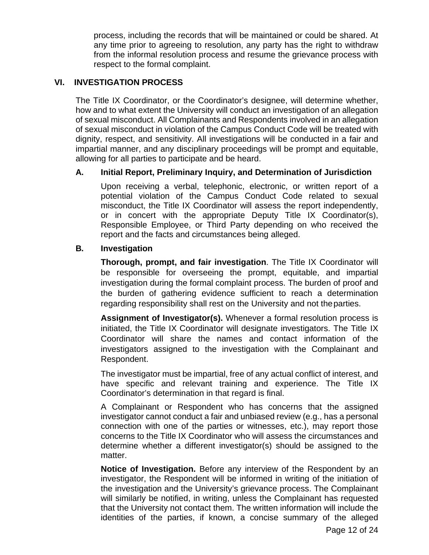process, including the records that will be maintained or could be shared. At any time prior to agreeing to resolution, any party has the right to withdraw from the informal resolution process and resume the grievance process with respect to the formal complaint.

#### **VI. INVESTIGATION PROCESS**

The Title IX Coordinator, or the Coordinator's designee, will determine whether, how and to what extent the University will conduct an investigation of an allegation of sexual misconduct. All Complainants and Respondents involved in an allegation of sexual misconduct in violation of the Campus Conduct Code will be treated with dignity, respect, and sensitivity. All investigations will be conducted in a fair and impartial manner, and any disciplinary proceedings will be prompt and equitable, allowing for all parties to participate and be heard.

#### **A. Initial Report, Preliminary Inquiry, and Determination of Jurisdiction**

Upon receiving a verbal, telephonic, electronic, or written report of a potential violation of the Campus Conduct Code related to sexual misconduct, the Title IX Coordinator will assess the report independently, or in concert with the appropriate Deputy Title IX Coordinator(s), Responsible Employee, or Third Party depending on who received the report and the facts and circumstances being alleged.

#### **B. Investigation**

**Thorough, prompt, and fair investigation**. The Title IX Coordinator will be responsible for overseeing the prompt, equitable, and impartial investigation during the formal complaint process. The burden of proof and the burden of gathering evidence sufficient to reach a determination regarding responsibility shall rest on the University and not theparties.

**Assignment of Investigator(s).** Whenever a formal resolution process is initiated, the Title IX Coordinator will designate investigators. The Title IX Coordinator will share the names and contact information of the investigators assigned to the investigation with the Complainant and Respondent.

The investigator must be impartial, free of any actual conflict of interest, and have specific and relevant training and experience. The Title IX Coordinator's determination in that regard is final.

A Complainant or Respondent who has concerns that the assigned investigator cannot conduct a fair and unbiased review (e.g., has a personal connection with one of the parties or witnesses, etc.), may report those concerns to the Title IX Coordinator who will assess the circumstances and determine whether a different investigator(s) should be assigned to the matter.

**Notice of Investigation.** Before any interview of the Respondent by an investigator, the Respondent will be informed in writing of the initiation of the investigation and the University's grievance process. The Complainant will similarly be notified, in writing, unless the Complainant has requested that the University not contact them. The written information will include the identities of the parties, if known, a concise summary of the alleged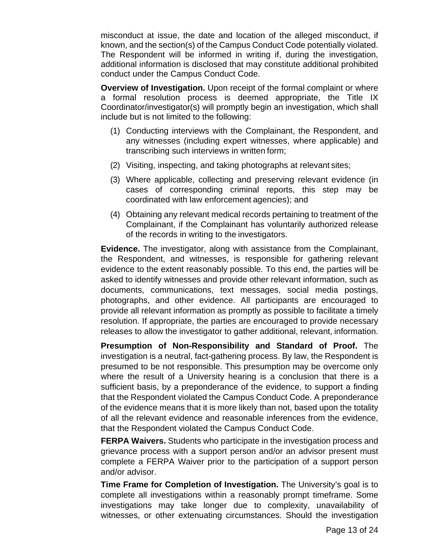misconduct at issue, the date and location of the alleged misconduct, if known, and the section(s) of the Campus Conduct Code potentially violated. The Respondent will be informed in writing if, during the investigation, additional information is disclosed that may constitute additional prohibited conduct under the Campus Conduct Code.

**Overview of Investigation.** Upon receipt of the formal complaint or where a formal resolution process is deemed appropriate, the Title IX Coordinator/investigator(s) will promptly begin an investigation, which shall include but is not limited to the following:

- (1) Conducting interviews with the Complainant, the Respondent, and any witnesses (including expert witnesses, where applicable) and transcribing such interviews in written form;
- (2) Visiting, inspecting, and taking photographs at relevant sites;
- (3) Where applicable, collecting and preserving relevant evidence (in cases of corresponding criminal reports, this step may be coordinated with law enforcement agencies); and
- (4) Obtaining any relevant medical records pertaining to treatment of the Complainant, if the Complainant has voluntarily authorized release of the records in writing to the investigators.

**Evidence.** The investigator, along with assistance from the Complainant, the Respondent, and witnesses, is responsible for gathering relevant evidence to the extent reasonably possible. To this end, the parties will be asked to identify witnesses and provide other relevant information, such as documents, communications, text messages, social media postings, photographs, and other evidence. All participants are encouraged to provide all relevant information as promptly as possible to facilitate a timely resolution. If appropriate, the parties are encouraged to provide necessary releases to allow the investigator to gather additional, relevant, information.

**Presumption of Non-Responsibility and Standard of Proof.** The investigation is a neutral, fact-gathering process. By law, the Respondent is presumed to be not responsible. This presumption may be overcome only where the result of a University hearing is a conclusion that there is a sufficient basis, by a preponderance of the evidence, to support a finding that the Respondent violated the Campus Conduct Code. A preponderance of the evidence means that it is more likely than not, based upon the totality of all the relevant evidence and reasonable inferences from the evidence, that the Respondent violated the Campus Conduct Code.

**FERPA Waivers.** Students who participate in the investigation process and grievance process with a support person and/or an advisor present must complete a FERPA Waiver prior to the participation of a support person and/or advisor.

**Time Frame for Completion of Investigation.** The University's goal is to complete all investigations within a reasonably prompt timeframe. Some investigations may take longer due to complexity, unavailability of witnesses, or other extenuating circumstances. Should the investigation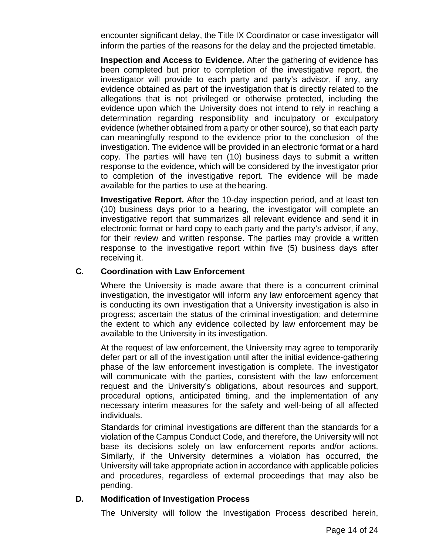encounter significant delay, the Title IX Coordinator or case investigator will inform the parties of the reasons for the delay and the projected timetable.

**Inspection and Access to Evidence.** After the gathering of evidence has been completed but prior to completion of the investigative report, the investigator will provide to each party and party's advisor, if any, any evidence obtained as part of the investigation that is directly related to the allegations that is not privileged or otherwise protected, including the evidence upon which the University does not intend to rely in reaching a determination regarding responsibility and inculpatory or exculpatory evidence (whether obtained from a party or other source), so that each party can meaningfully respond to the evidence prior to the conclusion of the investigation. The evidence will be provided in an electronic format or a hard copy. The parties will have ten (10) business days to submit a written response to the evidence, which will be considered by the investigator prior to completion of the investigative report. The evidence will be made available for the parties to use at thehearing.

**Investigative Report.** After the 10-day inspection period, and at least ten (10) business days prior to a hearing, the investigator will complete an investigative report that summarizes all relevant evidence and send it in electronic format or hard copy to each party and the party's advisor, if any, for their review and written response. The parties may provide a written response to the investigative report within five (5) business days after receiving it.

#### **C. Coordination with Law Enforcement**

Where the University is made aware that there is a concurrent criminal investigation, the investigator will inform any law enforcement agency that is conducting its own investigation that a University investigation is also in progress; ascertain the status of the criminal investigation; and determine the extent to which any evidence collected by law enforcement may be available to the University in its investigation.

At the request of law enforcement, the University may agree to temporarily defer part or all of the investigation until after the initial evidence-gathering phase of the law enforcement investigation is complete. The investigator will communicate with the parties, consistent with the law enforcement request and the University's obligations, about resources and support, procedural options, anticipated timing, and the implementation of any necessary interim measures for the safety and well-being of all affected individuals.

Standards for criminal investigations are different than the standards for a violation of the Campus Conduct Code, and therefore, the University will not base its decisions solely on law enforcement reports and/or actions. Similarly, if the University determines a violation has occurred, the University will take appropriate action in accordance with applicable policies and procedures, regardless of external proceedings that may also be pending.

#### **D. Modification of Investigation Process**

The University will follow the Investigation Process described herein,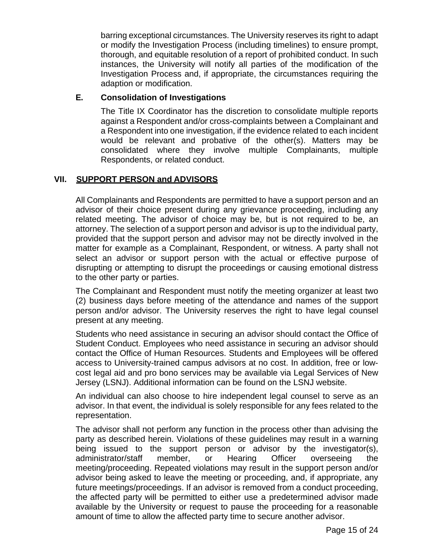barring exceptional circumstances. The University reserves its right to adapt or modify the Investigation Process (including timelines) to ensure prompt, thorough, and equitable resolution of a report of prohibited conduct. In such instances, the University will notify all parties of the modification of the Investigation Process and, if appropriate, the circumstances requiring the adaption or modification.

#### **E. Consolidation of Investigations**

The Title IX Coordinator has the discretion to consolidate multiple reports against a Respondent and/or cross-complaints between a Complainant and a Respondent into one investigation, if the evidence related to each incident would be relevant and probative of the other(s). Matters may be consolidated where they involve multiple Complainants, multiple Respondents, or related conduct.

#### **VII. SUPPORT PERSON and ADVISORS**

All Complainants and Respondents are permitted to have a support person and an advisor of their choice present during any grievance proceeding, including any related meeting. The advisor of choice may be, but is not required to be, an attorney. The selection of a support person and advisor is up to the individual party, provided that the support person and advisor may not be directly involved in the matter for example as a Complainant, Respondent, or witness. A party shall not select an advisor or support person with the actual or effective purpose of disrupting or attempting to disrupt the proceedings or causing emotional distress to the other party or parties.

The Complainant and Respondent must notify the meeting organizer at least two (2) business days before meeting of the attendance and names of the support person and/or advisor. The University reserves the right to have legal counsel present at any meeting.

Students who need assistance in securing an advisor should contact the Office of Student Conduct. Employees who need assistance in securing an advisor should contact the Office of Human Resources. Students and Employees will be offered access to University-trained campus advisors at no cost. In addition, free or lowcost legal aid and pro bono services may be available via Legal Services of New Jersey (LSNJ). Additional information can be found on the LSNJ website.

An individual can also choose to hire independent legal counsel to serve as an advisor. In that event, the individual is solely responsible for any fees related to the representation.

The advisor shall not perform any function in the process other than advising the party as described herein. Violations of these guidelines may result in a warning being issued to the support person or advisor by the investigator(s), administrator/staff member, or Hearing Officer overseeing the meeting/proceeding. Repeated violations may result in the support person and/or advisor being asked to leave the meeting or proceeding, and, if appropriate, any future meetings/proceedings. If an advisor is removed from a conduct proceeding, the affected party will be permitted to either use a predetermined advisor made available by the University or request to pause the proceeding for a reasonable amount of time to allow the affected party time to secure another advisor.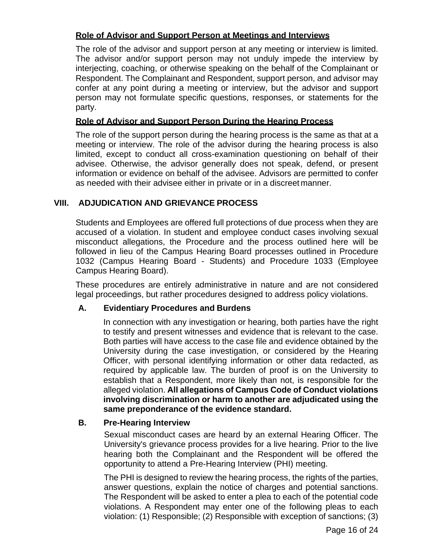#### **Role of Advisor and Support Person at Meetings and Interviews**

The role of the advisor and support person at any meeting or interview is limited. The advisor and/or support person may not unduly impede the interview by interjecting, coaching, or otherwise speaking on the behalf of the Complainant or Respondent. The Complainant and Respondent, support person, and advisor may confer at any point during a meeting or interview, but the advisor and support person may not formulate specific questions, responses, or statements for the party.

#### **Role of Advisor and Support Person During the Hearing Process**

The role of the support person during the hearing process is the same as that at a meeting or interview. The role of the advisor during the hearing process is also limited, except to conduct all cross-examination questioning on behalf of their advisee. Otherwise, the advisor generally does not speak, defend, or present information or evidence on behalf of the advisee. Advisors are permitted to confer as needed with their advisee either in private or in a discreet manner.

#### **VIII. ADJUDICATION AND GRIEVANCE PROCESS**

Students and Employees are offered full protections of due process when they are accused of a violation. In student and employee conduct cases involving sexual misconduct allegations, the Procedure and the process outlined here will be followed in lieu of the Campus Hearing Board processes outlined in Procedure 1032 (Campus Hearing Board - Students) and Procedure 1033 (Employee Campus Hearing Board).

These procedures are entirely administrative in nature and are not considered legal proceedings, but rather procedures designed to address policy violations.

#### **A. Evidentiary Procedures and Burdens**

In connection with any investigation or hearing, both parties have the right to testify and present witnesses and evidence that is relevant to the case. Both parties will have access to the case file and evidence obtained by the University during the case investigation, or considered by the Hearing Officer, with personal identifying information or other data redacted, as required by applicable law. The burden of proof is on the University to establish that a Respondent, more likely than not, is responsible for the alleged violation. **All allegations of Campus Code of Conduct violations involving discrimination or harm to another are adjudicated using the same preponderance of the evidence standard.**

#### **B. Pre-Hearing Interview**

Sexual misconduct cases are heard by an external Hearing Officer. The University's grievance process provides for a live hearing. Prior to the live hearing both the Complainant and the Respondent will be offered the opportunity to attend a Pre-Hearing Interview (PHI) meeting.

The PHI is designed to review the hearing process, the rights of the parties, answer questions, explain the notice of charges and potential sanctions. The Respondent will be asked to enter a plea to each of the potential code violations. A Respondent may enter one of the following pleas to each violation: (1) Responsible; (2) Responsible with exception of sanctions; (3)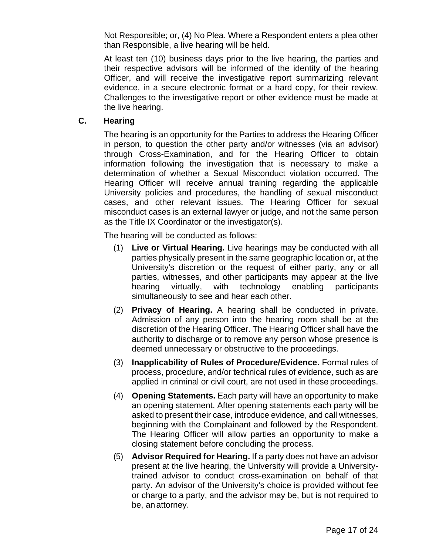Not Responsible; or, (4) No Plea. Where a Respondent enters a plea other than Responsible, a live hearing will be held.

At least ten (10) business days prior to the live hearing, the parties and their respective advisors will be informed of the identity of the hearing Officer, and will receive the investigative report summarizing relevant evidence, in a secure electronic format or a hard copy, for their review. Challenges to the investigative report or other evidence must be made at the live hearing.

#### **C. Hearing**

The hearing is an opportunity for the Parties to address the Hearing Officer in person, to question the other party and/or witnesses (via an advisor) through Cross-Examination, and for the Hearing Officer to obtain information following the investigation that is necessary to make a determination of whether a Sexual Misconduct violation occurred. The Hearing Officer will receive annual training regarding the applicable University policies and procedures, the handling of sexual misconduct cases, and other relevant issues. The Hearing Officer for sexual misconduct cases is an external lawyer or judge, and not the same person as the Title IX Coordinator or the investigator(s).

The hearing will be conducted as follows:

- (1) **Live or Virtual Hearing.** Live hearings may be conducted with all parties physically present in the same geographic location or, at the University's discretion or the request of either party, any or all parties, witnesses, and other participants may appear at the live hearing virtually, with technology enabling participants simultaneously to see and hear each other.
- (2) **Privacy of Hearing.** A hearing shall be conducted in private. Admission of any person into the hearing room shall be at the discretion of the Hearing Officer. The Hearing Officer shall have the authority to discharge or to remove any person whose presence is deemed unnecessary or obstructive to the proceedings.
- (3) **Inapplicability of Rules of Procedure/Evidence.** Formal rules of process, procedure, and/or technical rules of evidence, such as are applied in criminal or civil court, are not used in these proceedings.
- (4) **Opening Statements.** Each party will have an opportunity to make an opening statement. After opening statements each party will be asked to present their case, introduce evidence, and call witnesses, beginning with the Complainant and followed by the Respondent. The Hearing Officer will allow parties an opportunity to make a closing statement before concluding the process.
- (5) **Advisor Required for Hearing.** If a party does not have an advisor present at the live hearing, the University will provide a Universitytrained advisor to conduct cross-examination on behalf of that party. An advisor of the University's choice is provided without fee or charge to a party, and the advisor may be, but is not required to be, an attorney.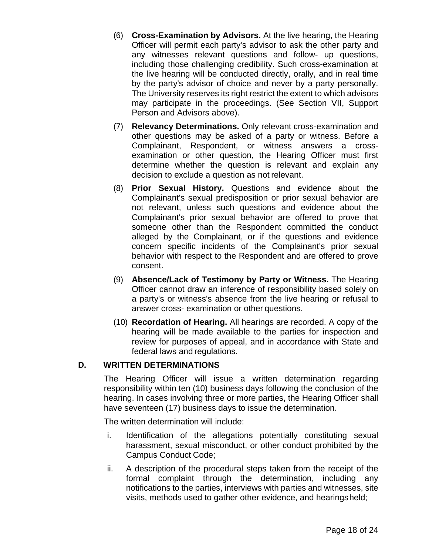- (6) **Cross-Examination by Advisors.** At the live hearing, the Hearing Officer will permit each party's advisor to ask the other party and any witnesses relevant questions and follow- up questions, including those challenging credibility. Such cross-examination at the live hearing will be conducted directly, orally, and in real time by the party's advisor of choice and never by a party personally. The University reserves its right restrict the extent to which advisors may participate in the proceedings. (See Section VII, Support Person and Advisors above).
- (7) **Relevancy Determinations.** Only relevant cross-examination and other questions may be asked of a party or witness. Before a Complainant, Respondent, or witness answers a crossexamination or other question, the Hearing Officer must first determine whether the question is relevant and explain any decision to exclude a question as not relevant.
- (8) **Prior Sexual History.** Questions and evidence about the Complainant's sexual predisposition or prior sexual behavior are not relevant, unless such questions and evidence about the Complainant's prior sexual behavior are offered to prove that someone other than the Respondent committed the conduct alleged by the Complainant, or if the questions and evidence concern specific incidents of the Complainant's prior sexual behavior with respect to the Respondent and are offered to prove consent.
- (9) **Absence/Lack of Testimony by Party or Witness.** The Hearing Officer cannot draw an inference of responsibility based solely on a party's or witness's absence from the live hearing or refusal to answer cross- examination or other questions.
- (10) **Recordation of Hearing.** All hearings are recorded. A copy of the hearing will be made available to the parties for inspection and review for purposes of appeal, and in accordance with State and federal laws and regulations.

#### **D. WRITTEN DETERMINATIONS**

The Hearing Officer will issue a written determination regarding responsibility within ten (10) business days following the conclusion of the hearing. In cases involving three or more parties, the Hearing Officer shall have seventeen (17) business days to issue the determination.

The written determination will include:

- i. Identification of the allegations potentially constituting sexual harassment, sexual misconduct, or other conduct prohibited by the Campus Conduct Code;
- ii. A description of the procedural steps taken from the receipt of the formal complaint through the determination, including any notifications to the parties, interviews with parties and witnesses, site visits, methods used to gather other evidence, and hearingsheld;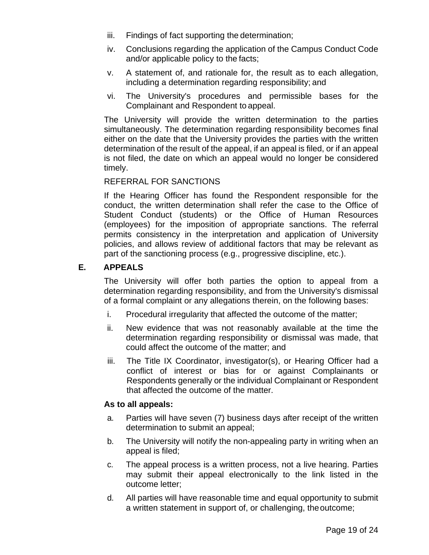- iii. Findings of fact supporting the determination;
- iv. Conclusions regarding the application of the Campus Conduct Code and/or applicable policy to the facts;
- v. A statement of, and rationale for, the result as to each allegation, including a determination regarding responsibility; and
- vi. The University's procedures and permissible bases for the Complainant and Respondent to appeal.

The University will provide the written determination to the parties simultaneously. The determination regarding responsibility becomes final either on the date that the University provides the parties with the written determination of the result of the appeal, if an appeal is filed, or if an appeal is not filed, the date on which an appeal would no longer be considered timely.

#### REFERRAL FOR SANCTIONS

If the Hearing Officer has found the Respondent responsible for the conduct, the written determination shall refer the case to the Office of Student Conduct (students) or the Office of Human Resources (employees) for the imposition of appropriate sanctions. The referral permits consistency in the interpretation and application of University policies, and allows review of additional factors that may be relevant as part of the sanctioning process (e.g., progressive discipline, etc.).

#### **E. APPEALS**

The University will offer both parties the option to appeal from a determination regarding responsibility, and from the University's dismissal of a formal complaint or any allegations therein, on the following bases:

- i. Procedural irregularity that affected the outcome of the matter;
- ii. New evidence that was not reasonably available at the time the determination regarding responsibility or dismissal was made, that could affect the outcome of the matter; and
- iii. The Title IX Coordinator, investigator(s), or Hearing Officer had a conflict of interest or bias for or against Complainants or Respondents generally or the individual Complainant or Respondent that affected the outcome of the matter.

#### **As to all appeals:**

- a. Parties will have seven (7) business days after receipt of the written determination to submit an appeal;
- b. The University will notify the non-appealing party in writing when an appeal is filed;
- c. The appeal process is a written process, not a live hearing. Parties may submit their appeal electronically to the link listed in the outcome letter;
- d. All parties will have reasonable time and equal opportunity to submit a written statement in support of, or challenging, theoutcome;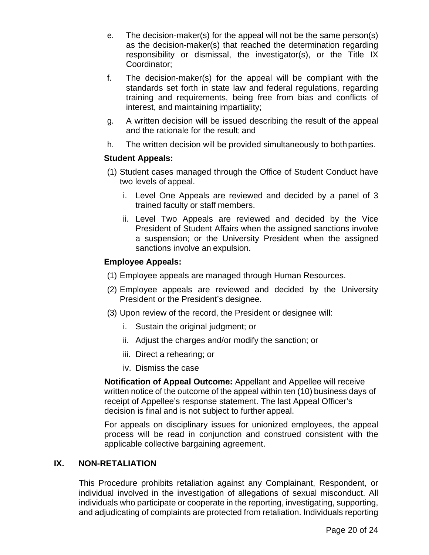- e. The decision-maker(s) for the appeal will not be the same person(s) as the decision-maker(s) that reached the determination regarding responsibility or dismissal, the investigator(s), or the Title IX Coordinator;
- f. The decision-maker(s) for the appeal will be compliant with the standards set forth in state law and federal regulations, regarding training and requirements, being free from bias and conflicts of interest, and maintaining impartiality;
- g. A written decision will be issued describing the result of the appeal and the rationale for the result; and
- h. The written decision will be provided simultaneously to bothparties.

#### **Student Appeals:**

- (1) Student cases managed through the Office of Student Conduct have two levels of appeal.
	- i. Level One Appeals are reviewed and decided by a panel of 3 trained faculty or staff members.
	- ii. Level Two Appeals are reviewed and decided by the Vice President of Student Affairs when the assigned sanctions involve a suspension; or the University President when the assigned sanctions involve an expulsion.

#### **Employee Appeals:**

- (1) Employee appeals are managed through Human Resources.
- (2) Employee appeals are reviewed and decided by the University President or the President's designee.
- (3) Upon review of the record, the President or designee will:
	- i. Sustain the original judgment; or
	- ii. Adjust the charges and/or modify the sanction; or
	- iii. Direct a rehearing; or
	- iv. Dismiss the case

**Notification of Appeal Outcome:** Appellant and Appellee will receive written notice of the outcome of the appeal within ten (10) business days of receipt of Appellee's response statement. The last Appeal Officer's decision is final and is not subject to further appeal.

For appeals on disciplinary issues for unionized employees, the appeal process will be read in conjunction and construed consistent with the applicable collective bargaining agreement.

#### **IX. NON-RETALIATION**

This Procedure prohibits retaliation against any Complainant, Respondent, or individual involved in the investigation of allegations of sexual misconduct. All individuals who participate or cooperate in the reporting, investigating, supporting, and adjudicating of complaints are protected from retaliation. Individuals reporting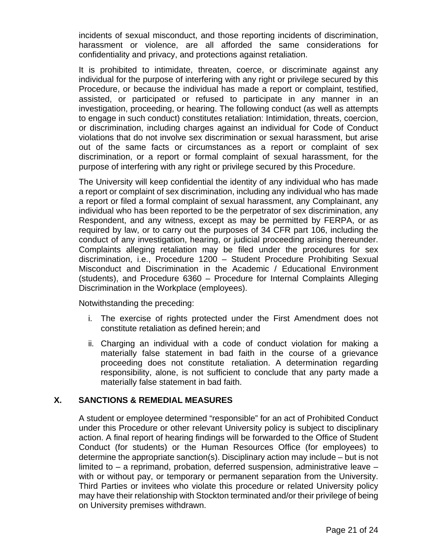incidents of sexual misconduct, and those reporting incidents of discrimination, harassment or violence, are all afforded the same considerations for confidentiality and privacy, and protections against retaliation.

It is prohibited to intimidate, threaten, coerce, or discriminate against any individual for the purpose of interfering with any right or privilege secured by this Procedure, or because the individual has made a report or complaint, testified, assisted, or participated or refused to participate in any manner in an investigation, proceeding, or hearing. The following conduct (as well as attempts to engage in such conduct) constitutes retaliation: Intimidation, threats, coercion, or discrimination, including charges against an individual for Code of Conduct violations that do not involve sex discrimination or sexual harassment, but arise out of the same facts or circumstances as a report or complaint of sex discrimination, or a report or formal complaint of sexual harassment, for the purpose of interfering with any right or privilege secured by this Procedure.

The University will keep confidential the identity of any individual who has made a report or complaint of sex discrimination, including any individual who has made a report or filed a formal complaint of sexual harassment, any Complainant, any individual who has been reported to be the perpetrator of sex discrimination, any Respondent, and any witness, except as may be permitted by FERPA, or as required by law, or to carry out the purposes of 34 CFR part 106, including the conduct of any investigation, hearing, or judicial proceeding arising thereunder. Complaints alleging retaliation may be filed under the procedures for sex discrimination, i.e., Procedure 1200 – Student Procedure Prohibiting Sexual Misconduct and Discrimination in the Academic / Educational Environment (students), and Procedure 6360 – Procedure for Internal Complaints Alleging Discrimination in the Workplace (employees).

Notwithstanding the preceding:

- i. The exercise of rights protected under the First Amendment does not constitute retaliation as defined herein; and
- ii. Charging an individual with a code of conduct violation for making a materially false statement in bad faith in the course of a grievance proceeding does not constitute retaliation. A determination regarding responsibility, alone, is not sufficient to conclude that any party made a materially false statement in bad faith.

#### **X. SANCTIONS & REMEDIAL MEASURES**

A student or employee determined "responsible" for an act of Prohibited Conduct under this Procedure or other relevant University policy is subject to disciplinary action. A final report of hearing findings will be forwarded to the Office of Student Conduct (for students) or the Human Resources Office (for employees) to determine the appropriate sanction(s). Disciplinary action may include – but is not limited to  $-$  a reprimand, probation, deferred suspension, administrative leave  $$ with or without pay, or temporary or permanent separation from the University. Third Parties or invitees who violate this procedure or related University policy may have their relationship with Stockton terminated and/or their privilege of being on University premises withdrawn.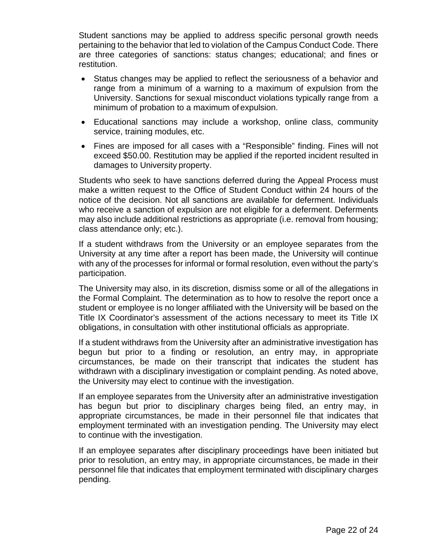Student sanctions may be applied to address specific personal growth needs pertaining to the behavior that led to violation of the Campus Conduct Code. There are three categories of sanctions: status changes; educational; and fines or restitution.

- Status changes may be applied to reflect the seriousness of a behavior and range from a minimum of a warning to a maximum of expulsion from the University. Sanctions for sexual misconduct violations typically range from a minimum of probation to a maximum ofexpulsion.
- Educational sanctions may include a workshop, online class, community service, training modules, etc.
- Fines are imposed for all cases with a "Responsible" finding. Fines will not exceed \$50.00. Restitution may be applied if the reported incident resulted in damages to University property.

Students who seek to have sanctions deferred during the Appeal Process must make a written request to the Office of Student Conduct within 24 hours of the notice of the decision. Not all sanctions are available for deferment. Individuals who receive a sanction of expulsion are not eligible for a deferment. Deferments may also include additional restrictions as appropriate (i.e. removal from housing; class attendance only; etc.).

If a student withdraws from the University or an employee separates from the University at any time after a report has been made, the University will continue with any of the processes for informal or formal resolution, even without the party's participation.

The University may also, in its discretion, dismiss some or all of the allegations in the Formal Complaint. The determination as to how to resolve the report once a student or employee is no longer affiliated with the University will be based on the Title IX Coordinator's assessment of the actions necessary to meet its Title IX obligations, in consultation with other institutional officials as appropriate.

If a student withdraws from the University after an administrative investigation has begun but prior to a finding or resolution, an entry may, in appropriate circumstances, be made on their transcript that indicates the student has withdrawn with a disciplinary investigation or complaint pending. As noted above, the University may elect to continue with the investigation.

If an employee separates from the University after an administrative investigation has begun but prior to disciplinary charges being filed, an entry may, in appropriate circumstances, be made in their personnel file that indicates that employment terminated with an investigation pending. The University may elect to continue with the investigation.

If an employee separates after disciplinary proceedings have been initiated but prior to resolution, an entry may, in appropriate circumstances, be made in their personnel file that indicates that employment terminated with disciplinary charges pending.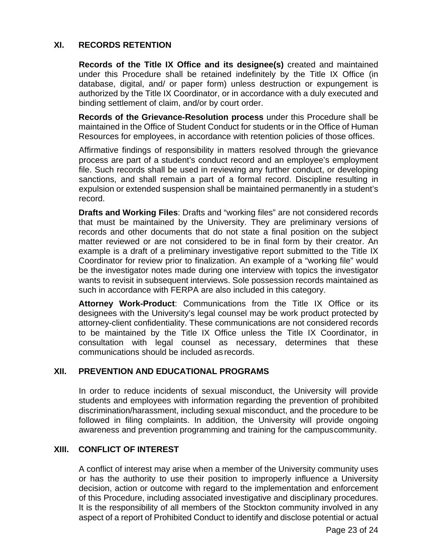#### **XI. RECORDS RETENTION**

**Records of the Title IX Office and its designee(s)** created and maintained under this Procedure shall be retained indefinitely by the Title IX Office (in database, digital, and/ or paper form) unless destruction or expungement is authorized by the Title IX Coordinator, or in accordance with a duly executed and binding settlement of claim, and/or by court order.

**Records of the Grievance-Resolution process** under this Procedure shall be maintained in the Office of Student Conduct for students or in the Office of Human Resources for employees, in accordance with retention policies of those offices.

Affirmative findings of responsibility in matters resolved through the grievance process are part of a student's conduct record and an employee's employment file. Such records shall be used in reviewing any further conduct, or developing sanctions, and shall remain a part of a formal record. Discipline resulting in expulsion or extended suspension shall be maintained permanently in a student's record.

**Drafts and Working Files**: Drafts and "working files" are not considered records that must be maintained by the University. They are preliminary versions of records and other documents that do not state a final position on the subject matter reviewed or are not considered to be in final form by their creator. An example is a draft of a preliminary investigative report submitted to the Title IX Coordinator for review prior to finalization. An example of a "working file" would be the investigator notes made during one interview with topics the investigator wants to revisit in subsequent interviews. Sole possession records maintained as such in accordance with FERPA are also included in this category.

**Attorney Work-Product**: Communications from the Title IX Office or its designees with the University's legal counsel may be work product protected by attorney-client confidentiality. These communications are not considered records to be maintained by the Title IX Office unless the Title IX Coordinator, in consultation with legal counsel as necessary, determines that these communications should be included as records.

#### **XII. PREVENTION AND EDUCATIONAL PROGRAMS**

In order to reduce incidents of sexual misconduct, the University will provide students and employees with information regarding the prevention of prohibited discrimination/harassment, including sexual misconduct, and the procedure to be followed in filing complaints. In addition, the University will provide ongoing awareness and prevention programming and training for the campuscommunity.

#### **XIII. CONFLICT OF INTEREST**

A conflict of interest may arise when a member of the University community uses or has the authority to use their position to improperly influence a University decision, action or outcome with regard to the implementation and enforcement of this Procedure, including associated investigative and disciplinary procedures. It is the responsibility of all members of the Stockton community involved in any aspect of a report of Prohibited Conduct to identify and disclose potential or actual